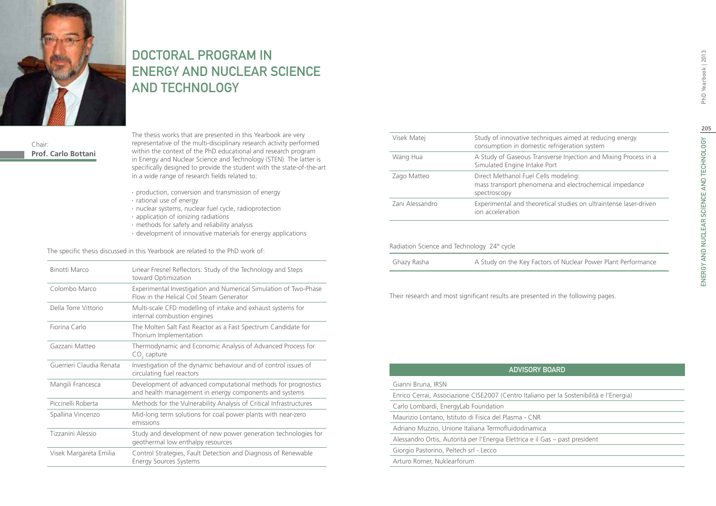

## DOCTORAL PROGRAM IN Energy and Nuclear Science and Technology

Chair: **Prof. Carlo Bottani**

The thesis works that are presented in this Yearbook are very representative of the multi-disciplinary research activity performed within the context of the PhD educational and research program in Energy and Nuclear Science and Technology (STEN). The latter is specifically designed to provide the student with the state-of-the-art in a wide range of research fields related to:

- ∙ production, conversion and transmission of energy
- ∙ rational use of energy
- ∙ nuclear systems, nuclear fuel cycle, radioprotection
- ∙ application of ionizing radiations
- ∙ methods for safety and reliability analysis
- ∙ development of innovative materials for energy applications

The specific thesis discussed in this Yearbook are related to the PhD work of:

| Binotti Marco            | Linear Fresnel Reflectors: Study of the Technology and Steps<br>toward Optimization                                     |
|--------------------------|-------------------------------------------------------------------------------------------------------------------------|
| Colombo Marco            | Experimental Investigation and Numerical Simulation of Two-Phase<br>Flow in the Helical Coil Steam Generator            |
| Della Torre Vittorio     | Multi-scale CFD modelling of intake and exhaust systems for<br>internal combustion engines                              |
| Fiorina Carlo            | The Molten Salt Fast Reactor as a Fast Spectrum Candidate for<br>Thorium Implementation                                 |
| Gazzani Matteo           | Thermodynamic and Economic Analysis of Advanced Process for<br>$CO2$ capture                                            |
| Guerrieri Claudia Renata | Investigation of the dynamic behaviour and of control issues of<br>circulating fuel reactors                            |
| Mangili Francesca        | Development of advanced computational methods for prognostics<br>and health management in energy components and systems |
| Piccinelli Roberta       | Methods for the Vulnerability Analysis of Critical Infrastructures                                                      |
| Spallina Vincenzo        | Mid-long term solutions for coal power plants with near-zero<br>emissions                                               |
| Tizzanini Alessio        | Study and development of new power generation technologies for<br>geothermal low enthalpy resources                     |
| Visek Margareta Emilia   | Control Strategies, Fault Detection and Diagnosis of Renewable<br><b>Energy Sources Systems</b>                         |

| Visek Matej                                | Study of innovative techniques aimed at reducing energy<br>consumption in domestic refrigeration system        |
|--------------------------------------------|----------------------------------------------------------------------------------------------------------------|
| Wang Hua                                   | A Study of Gaseous Transverse Injection and Mixing Process in a<br>Simulated Engine Intake Port                |
| Zago Matteo                                | Direct Methanol Fuel Cells modeling:<br>mass transport phenomena and electrochemical impedance<br>spectroscopy |
| Zani Alessandro                            | Experimental and theoretical studies on ultraintense laser-driven<br>ion acceleration                          |
|                                            |                                                                                                                |
| Radiation Science and Technology 24° cycle |                                                                                                                |

| Ghazy Rasha | A Study on the Key Factors of Nuclear Power Plant Performance |
|-------------|---------------------------------------------------------------|
|             |                                                               |

Their research and most significant results are presented in the following pages.

| <b>ADVISORY BOARD</b><br>Gianni Bruna, IRSN<br>Enrico Cerrai, Associazione CISE2007 (Centro Italiano per la Sostenibilità e l'Energia)<br>Carlo Lombardi, EnergyLab Foundation<br>Maurizio Lontano, Istituto di Fisica del Plasma - CNR<br>Adriano Muzzio, Unione Italiana Termofluidodinamica<br>Alessandro Ortis, Autorità per l'Energia Elettrica e il Gas – past president<br>Giorgio Pastorino, Peltech srl - Lecco |  |  |
|--------------------------------------------------------------------------------------------------------------------------------------------------------------------------------------------------------------------------------------------------------------------------------------------------------------------------------------------------------------------------------------------------------------------------|--|--|
|                                                                                                                                                                                                                                                                                                                                                                                                                          |  |  |
|                                                                                                                                                                                                                                                                                                                                                                                                                          |  |  |
|                                                                                                                                                                                                                                                                                                                                                                                                                          |  |  |
|                                                                                                                                                                                                                                                                                                                                                                                                                          |  |  |
|                                                                                                                                                                                                                                                                                                                                                                                                                          |  |  |
|                                                                                                                                                                                                                                                                                                                                                                                                                          |  |  |
|                                                                                                                                                                                                                                                                                                                                                                                                                          |  |  |
|                                                                                                                                                                                                                                                                                                                                                                                                                          |  |  |
| Arturo Romer, Nuklearforum                                                                                                                                                                                                                                                                                                                                                                                               |  |  |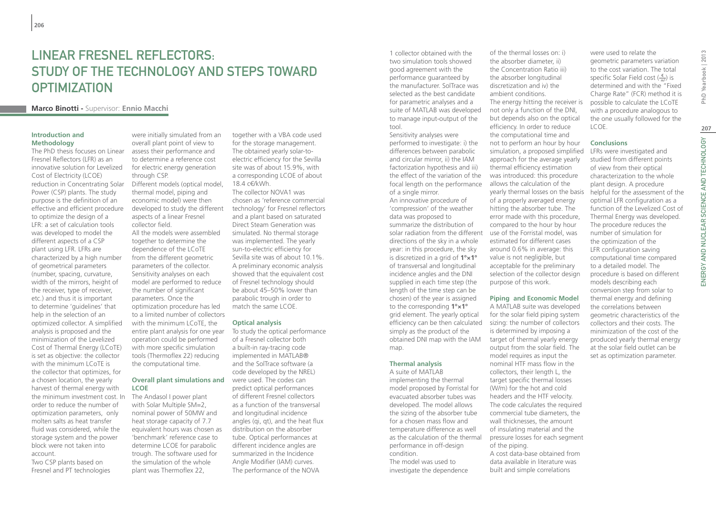# Linear Fresnel Reflectors: Study of the Technology and Steps toward **OPTIMIZATION**

## **Marco Binotti -** Supervisor: **Ennio Macchi**

### **Introduction and Methodology**

The PhD thesis focuses on Linear Fresnel Reflectors (LFR) as an innovative solution for Levelized Cost of Electricity (LCOE) reduction in Concentrating Solar Power (CSP) plants. The study purpose is the definition of an effective and efficient procedure to optimize the design of a LFR: a set of calculation tools was developed to model the different aspects of a CSP plant using LFR. LFRs are characterized by a high number of geometrical parameters (number, spacing, curvature, width of the mirrors, height of the receiver, type of receiver, etc.) and thus it is important to determine 'guidelines' that help in the selection of an optimized collector. A simplified analysis is proposed and the minimization of the Levelized Cost of Thermal Energy (LCoTE) is set as objective: the collector with the minimum LCoTE is the collector that optimizes, for a chosen location, the yearly harvest of thermal energy with the minimum investment cost. In order to reduce the number of optimization parameters, only molten salts as heat transfer fluid was considered, while the storage system and the power block were not taken into account.

Two CSP plants based on Fresnel and PT technologies

were initially simulated from an overall plant point of view to assess their performance and to determine a reference cost for electric energy generation through CSP. Different models (optical model, thermal model, piping and economic model) were then developed to study the different aspects of a linear Fresnel collector field. All the models were assembled together to determine the dependence of the LCoTE from the different geometric parameters of the collector. Sensitivity analyses on each model are performed to reduce the number of significant parameters. Once the optimization procedure has led

to a limited number of collectors with the minimum LCoTE, the entire plant analysis for one year operation could be performed with more specific simulation tools (Thermoflex 22) reducing the computational time.

#### **Overall plant simulations and**  were used. The codes can **LCOE**

The Andasol I power plant with Solar Multiple SM=2. nominal power of 50MW and heat storage capacity of 7.7 equivalent hours was chosen as 'benchmark' reference case to determine LCOE for parabolic trough. The software used for the simulation of the whole plant was Thermoflex 22,

together with a VBA code used for the storage management. The obtained yearly solar-toelectric efficiency for the Sevilla site was of about 15.9%, with a corresponding LCOE of about 18.4 c€/kWh.

The collector NOVA1 was chosen as 'reference commercial technology' for Fresnel reflectors and a plant based on saturated Direct Steam Generation was simulated. No thermal storage was implemented. The yearly sun-to-electric efficiency for Sevilla site was of about 10.1%. A preliminary economic analysis showed that the equivalent cost of Fresnel technology should be about 45–50% lower than parabolic trough in order to match the same LCOE.

### **Optical analysis**

To study the optical performance of a Fresnel collector both a built-in ray-tracing code implemented in MATLAB® and the SolTrace software (a code developed by the NREL) predict optical performances of different Fresnel collectors as a function of the transversal and longitudinal incidence angles (qi, qt), and the heat flux distribution on the absorber tube. Optical performances at different incidence angles are summarized in the Incidence Angle Modifier (IAM) curves. The performance of the NOVA

1 collector obtained with the two simulation tools showed good agreement with the performance guaranteed by the manufacturer. SolTrace was selected as the best candidate for parametric analyses and a suite of MATLAB was developed to manage input-output of the tool.

Sensitivity analyses were performed to investigate: i) the differences between parabolic and circular mirror, ii) the IAM factorization hypothesis and iii) the effect of the variation of the focal length on the performance of a single mirror.

An innovative procedure of 'compression' of the weather data was proposed to summarize the distribution of solar radiation from the different directions of the sky in a whole year: in this procedure, the sky is discretized in a grid of **1°×1°** of transversal and longitudinal incidence angles and the DNI supplied in each time step (the length of the time step can be chosen) of the year is assigned to the corresponding **1°×1°** grid element. The yearly optical efficiency can be then calculated simply as the product of the obtained DNI map with the IAM map.

#### **Thermal analysis**

A suite of MATLAB implementing the thermal model proposed by Forristal for evacuated absorber tubes was developed. The model allows the sizing of the absorber tube for a chosen mass flow and temperature difference as well as the calculation of the thermal performance in off-design condition. The model was used to

investigate the dependence

of the thermal losses on: i) the absorber diameter, ii) the Concentration Ratio iii) the absorber longitudinal discretization and iv) the ambient conditions. The energy hitting the receiver is not only a function of the DNI, but depends also on the optical efficiency. In order to reduce the computational time and not to perform an hour by hour simulation, a proposed simplified approach for the average yearly thermal efficiency estimation

was introduced: this procedure allows the calculation of the yearly thermal losses on the basis of a properly averaged energy hitting the absorber tube. The error made with this procedure, compared to the hour by hour use of the Forristal model, was estimated for different cases around 0.6% in average: this value is not negligible, but acceptable for the preliminary selection of the collector design purpose of this work.

**Piping and Economic Model** A MATLAB suite was developed for the solar field piping system sizing: the number of collectors is determined by imposing a target of thermal yearly energy output from the solar field. The model requires as input the nominal HTF mass flow in the collectors, their length L, the target specific thermal losses (W/m) for the hot and cold headers and the HTF velocity. The code calculates the required commercial tube diameters, the wall thicknesses, the amount of insulating material and the pressure losses for each segment of the piping.

A cost data-base obtained from data available in literature was built and simple correlations

were used to relate the geometric parameters variation to the cost variation. The total specific Solar Field cost  $(\frac{\epsilon}{n})$  is determined and with the "Fixed Charge Rate" (FCR) method it is possible to calculate the LCoTE with a procedure analogous to the one usually followed for the LCOE.

#### **Conclusions**

LFRs were investigated and studied from different points of view from their optical characterization to the whole plant design. A procedure helpful for the assessment of the optimal LFR configuration as a function of the Levelized Cost of Thermal Energy was developed. The procedure reduces the number of simulation for the optimization of the LFR configuration saving computational time compared to a detailed model. The procedure is based on different models describing each conversion step from solar to thermal energy and defining the correlations between geometric characteristics of the collectors and their costs. The minimization of the cost of the produced yearly thermal energy at the solar field outlet can be set as optimization parameter.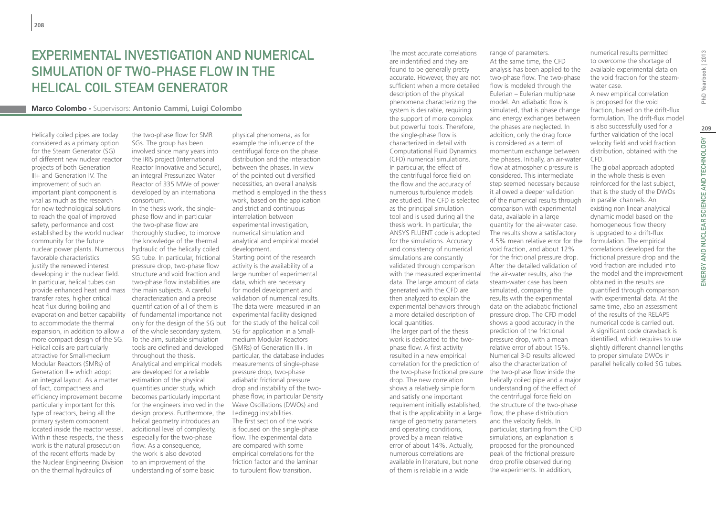## Experimental Investigation and Numerical Simulation of Two-Phase Flow in the Helical Coil Steam Generator

### **Marco Colombo -** Supervisors: **Antonio Cammi, Luigi Colombo**

Helically coiled pipes are today considered as a primary option for the Steam Generator (SG) of different new nuclear reactor projects of both Generation III+ and Generation IV. The improvement of such an important plant component is vital as much as the research for new technological solutions to reach the goal of improved safety, performance and cost established by the world nuclear community for the future nuclear power plants. Numerous favorable characteristics justify the renewed interest developing in the nuclear field. In particular, helical tubes can provide enhanced heat and mass transfer rates, higher critical heat flux during boiling and to accommodate the thermal expansion, in addition to allow a more compact design of the SG. Helical coils are particularly attractive for Small-medium Modular Reactors (SMRs) of Generation III+ which adopt an integral layout. As a matter of fact, compactness and efficiency improvement become particularly important for this type of reactors, being all the primary system component located inside the reactor vessel. Within these respects, the thesis work is the natural prosecution of the recent efforts made by the Nuclear Engineering Division on the thermal hydraulics of

the two-phase flow for SMR SGs. The group has been involved since many years into the IRIS project (International Reactor Innovative and Secure), an integral Pressurized Water Reactor of 335 MWe of power developed by an international consortium.

evaporation and better capability of fundamental importance not In the thesis work, the singlephase flow and in particular the two-phase flow are thoroughly studied, to improve the knowledge of the thermal hydraulic of the helically coiled SG tube. In particular, frictional pressure drop, two-phase flow structure and void fraction and two-phase flow instabilities are the main subjects. A careful characterization and a precise quantification of all of them is only for the design of the SG but for the study of the helical coil of the whole secondary system. To the aim, suitable simulation tools are defined and developed throughout the thesis. Analytical and empirical models are developed for a reliable estimation of the physical quantities under study, which becomes particularly important for the engineers involved in the design process. Furthermore, the helical geometry introduces an additional level of complexity, especially for the two-phase flow. As a consequence, the work is also devoted to an improvement of the understanding of some basic

physical phenomena, as for example the influence of the centrifugal force on the phase distribution and the interaction between the phases. In view of the pointed out diversified necessities, an overall analysis method is employed in the thesis work, based on the application and strict and continuous interrelation between experimental investigation, numerical simulation and analytical and empirical model development. Starting point of the research activity is the availability of a large number of experimental data, which are necessary for model development and validation of numerical results. The data were measured in an experimental facility designed SG for application in a Smallmedium Modular Reactors (SMRs) of Generation III+. In particular, the database includes measurements of single-phase pressure drop, two-phase adiabatic frictional pressure drop and instability of the twophase flow, in particular Density Wave Oscillations (DWOs) and Ledinegg instabilities. The first section of the work is focused on the single-phase flow. The experimental data are compared with some empirical correlations for the friction factor and the laminar to turbulent flow transition.

are indentified and they are found to be generally pretty accurate. However, they are not sufficient when a more detailed description of the physical phenomena characterizing the system is desirable, requiring the support of more complex but powerful tools. Therefore, the single-phase flow is characterized in detail with Computational Fluid Dynamics (CFD) numerical simulations. In particular, the effect of the centrifugal force field on the flow and the accuracy of numerous turbulence models are studied. The CFD is selected as the principal simulation tool and is used during all the thesis work. In particular, the ANSYS FLUENT code is adopted for the simulations. Accuracy and consistency of numerical simulations are constantly validated through comparison with the measured experimental data. The large amount of data generated with the CFD are then analyzed to explain the experimental behaviors through a more detailed description of local quantities. The larger part of the thesis work is dedicated to the twophase flow. A first activity resulted in a new empirical correlation for the prediction of the two-phase frictional pressure the two-phase flow inside the drop. The new correlation shows a relatively simple form and satisfy one important requirement initially established, that is the applicability in a large range of geometry parameters and operating conditions, proved by a mean relative error of about 14%. Actually, numerous correlations are available in literature, but none of them is reliable in a wide

The most accurate correlations

range of parameters. At the same time, the CFD analysis has been applied to the two-phase flow. The two-phase flow is modeled through the Eulerian – Eulerian multiphase model. An adiabatic flow is simulated, that is phase change and energy exchanges between the phases are neglected. In addition, only the drag force is considered as a term of momentum exchange between the phases. Initially, an air-water flow at atmospheric pressure is considered. This intermediate step seemed necessary because it allowed a deeper validation of the numerical results through comparison with experimental data, available in a large quantity for the air-water case. The results show a satisfactory 4.5% mean relative error for the void fraction, and about 12% for the frictional pressure drop. After the detailed validation of the air-water results, also the steam-water case has been simulated, comparing the results with the experimental data on the adiabatic frictional pressure drop. The CFD model shows a good accuracy in the prediction of the frictional pressure drop, with a mean relative error of about 15%. Numerical 3-D results allowed also the characterization of helically coiled pipe and a major understanding of the effect of the centrifugal force field on the structure of the two-phase flow, the phase distribution and the velocity fields. In particular, starting from the CFD simulations, an explanation is proposed for the pronounced peak of the frictional pressure drop profile observed during the experiments. In addition,

numerical results permitted to overcome the shortage of available experimental data on the void fraction for the steamwater case.

A new empirical correlation is proposed for the void fraction, based on the drift-flux formulation. The drift-flux model is also successfully used for a further validation of the local velocity field and void fraction distribution, obtained with the CFD.

The global approach adopted in the whole thesis is even reinforced for the last subject, that is the study of the DWOs in parallel channels. An existing non linear analytical dynamic model based on the homogeneous flow theory is upgraded to a drift-flux formulation. The empirical correlations developed for the frictional pressure drop and the void fraction are included into the model and the improvement obtained in the results are quantified through comparison with experimental data. At the same time, also an assessment of the results of the RELAP5 numerical code is carried out. A significant code drawback is identified, which requires to use slightly different channel lengths to proper simulate DWOs in parallel helically coiled SG tubes.

PhD Yearbook | 2013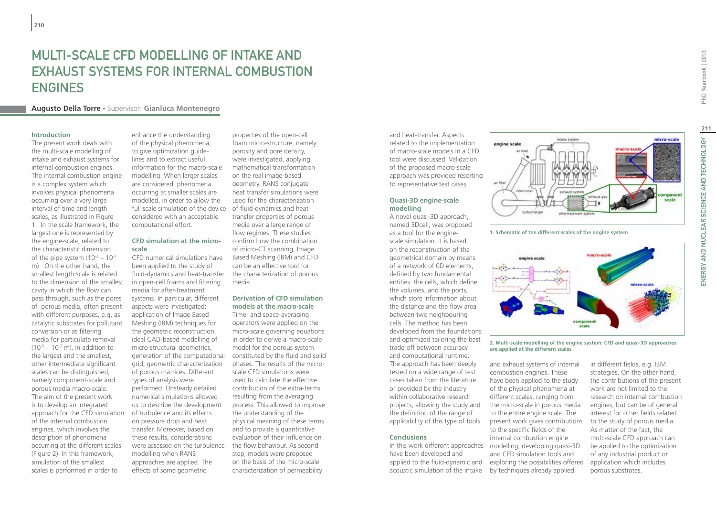## MUITI-SCALE CFD MODELLING OF INTAKE AND exhaust systems for internal combustion **ENGINES**

### **Augusto Della Torre -** Supervisor: **Gianluca Montenegro**

#### **Introduction**

The present work deals with the multi-scale modelling of intake and exhaust systems for internal combustion engines. The internal combustion engine is a complex system which involves physical phenomena occurring over a very large interval of time and length scales, as illustrated in Figure 1. In the scale framework, the largest one is represented by the engine-scale, related to the characteristic dimension of the pipe system  $(10^{-2} - 10^{-1})$ m). On the other hand, the smallest length scale is related to the dimension of the smallest cavity in which the flow can pass through, such as the pores of porous media, often present with different purposes, e.g. as catalytic substrates for pollutant conversion or as filtering media for particulate removal  $(10^{-5} - 10^{-3} \text{ m})$ . In addition to the largest and the smallest, other intermediate significant scales can be distinguished, namely component-scale and porous media macro-scale. The aim of the present work is to develop an integrated approach for the CFD simulation of the internal combustion engines, which involves the description of phenomena occurring at the different scales (Figure 2). In this framework, simulation of the smallest scales is performed in order to

enhance the understanding of the physical phenomena, to give optimization quidelines and to extract useful information for the macro-scale modelling. When larger scales are considered, phenomena occurring at smaller scales are modelled, in order to allow the full scale simulation of the device considered with an acceptable computational effort.

### **CFD simulation at the microscale**

CFD numerical simulations have been applied to the study of fluid-dynamics and heat-transfer the characterization of porous in open-cell foams and filtering media for after-treatment systems. In particular, different aspects were investigated: application of Image Based Meshing (IBM) techniques for the geometric reconstruction, ideal CAD-based modelling of micro-structural geometries, generation of the computational grid, geometric characterization of porous matrices. Different types of analysis were performed. Unsteady detailed numerical simulations allowed us to describe the development of turbulence and its effects on pressure drop and heat transfer. Moreover, based on these results, considerations were assessed on the turbulence modelling when RANS approaches are applied. The effects of some geometric

properties of the open-cell foam micro-structure, namely porosity and pore density, were investigated, applying mathematical transformation on the real image-based geometry. RANS conjugate heat transfer simulations were used for the characterization of fluid-dynamics and heattransfer properties of porous media over a large range of flow regimes. These studies confirm how the combination of micro-CT scanning, Image Based Meshing (IBM) and CFD can be an effective tool for media.

### **Derivation of CFD simulation models at the macro-scale**

Time- and space-averaging operators were applied on the micro-scale governing equations in order to derive a macro-scale model for the porous system constituted by the fluid and solid phases. The results of the microscale CFD simulations were used to calculate the effective contribution of the extra-terms resulting from the averaging process. This allowed to improve the understanding of the physical meaning of these terms and to provide a quantitative evaluation of their influence on the flow behaviour. As second step, models were proposed on the basis of the micro-scale characterization of permeability

and heat-transfer. Aspects related to the implementation of macro-scale models in a CFD tool were discussed. Validation of the proposed macro-scale approach was provided resorting to representative test cases.

#### **Quasi-3D engine-scale modelling**

A novel quasi-3D approach, named 3Dcell, was proposed as a tool for the enginescale simulation. It is based on the reconstruction of the geometrical domain by means of a network of 0D elements, defined by two fundamental entities: the cells, which define the volumes, and the ports, which store information about the distance and the flow area between two neighbouring cells. The method has been developed from the foundations and optimized tailoring the best trade-off between accuracy and computational runtime. The approach has been deeply tested on a wide range of test cases taken from the literature or provided by the industry within collaborative research projects, allowing the study and the definition of the range of

#### **Conclusions**

In this work different approaches have been developed and applied to the fluid-dynamic and acoustic simulation of the intake

and exhaust systems of internal combustion engines. These have been applied to the study of the physical phenomena at different scales, ranging from **are applied at the different scales**

applicability of this type of tools. present work gives contributions the micro-scale in porous media to the entire engine scale. The to the specific fields of the internal combustion engine modelling, developing quasi-3D and CFD simulation tools and exploring the possibilities offered by techniques already applied

**211**

micro-scale

scale

**1. Schematic of the different scales of the engine system**

turbocharge

intake system

engine scale



eitheant o

**2. Multi-scale modelling of the engine system: CFD and quasi-3D approaches** 

in different fields, e.g. IBM strategies. On the other hand, the contributions of the present work are not limited to the research on internal combustion engines, but can be of general interest for other fields related to the study of porous media. As matter of the fact, the multi-scale CFD approach can be applied to the optimization of any industrial product or application which includes porous substrates.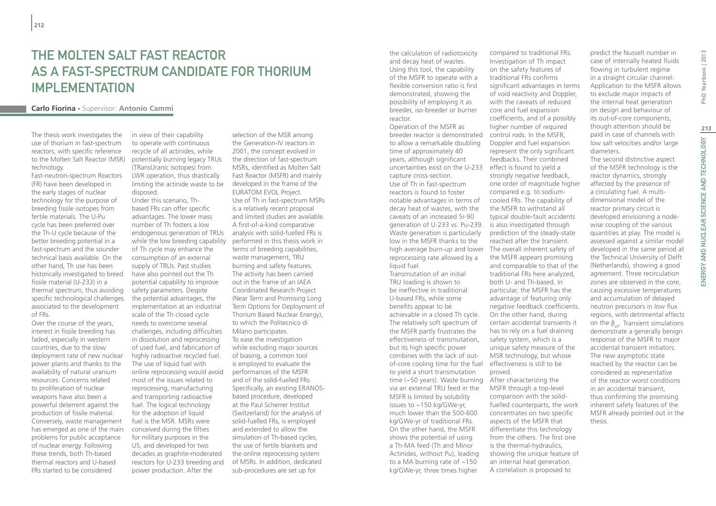## THE MOI TEN SAIT FAST REACTOR as a Fast-Spectrum Candidate for Thorium **IMPLEMENTATION**

### **Carlo Fiorina -** Supervisor: **Antonio Cammi**

The thesis work investigates the use of thorium in fast-spectrum reactors, with specific reference to the Molten Salt Reactor (MSR) technology.

Fast-neutron-spectrum Reactors (FR) have been developed in the early stages of nuclear technology for the purpose of breeding fissile isotopes from fertile materials. The U-Pu cycle has been preferred over the Th-U cycle because of the better breeding potential in a fast-spectrum and the sounder technical basis available. On the other hand, Th use has been historically investigated to breed fissile material (U-233) in a thermal spectrum, thus avoiding specific technological challenges associated to the development of FRs.

Over the course of the years, interest in fissile breeding has faded, especially in western countries, due to the slow deployment rate of new nuclear power plants and thanks to the availability of natural uranium resources. Concerns related to proliferation of nuclear weapons have also been a powerful deterrent against the production of fissile material. Conversely, waste management has emerged as one of the main problems for public acceptance of nuclear energy. Following these trends, both Th-based thermal reactors and U-based FRs started to be considered

in view of their capability to operate with continuous recycle of all actinides, while potentially burning legacy TRUs (TRansUranic isotopes) from LWR operation, thus drastically limiting the actinide waste to be disposed.

Under this scenario, Thbased FRs can offer specific advantages. The lower mass number of Th fosters a low endogenous generation of TRUs while the low breeding capability performed in this thesis work in of Th cycle may enhance the consumption of an external supply of TRUs. Past studies have also pointed out the Th potential capability to improve safety parameters. Despite the potential advantages, the implementation at an industrial scale of the Th closed cycle needs to overcome several challenges, including difficulties in dissolution and reprocessing of used fuel, and fabrication of highly radioactive recycled fuel. The use of liquid fuel with online reprocessing would avoid most of the issues related to reprocessing, manufacturing and transporting radioactive fuel. The logical technology for the adoption of liquid fuel is the MSR. MSRs were conceived during the fifties for military purposes in the US, and developed for two decades as graphite-moderated reactors for U-233 breeding and power production. After the

selection of the MSR among the Generation-IV reactors in 2001, the concept evolved in the direction of fast-spectrum MSRs, identified as Molten Salt Fast Reactor (MSFR) and mainly developed in the frame of the EURATOM EVOL Project. Use of Th in fast-spectrum MSRs is a relatively recent proposal and limited studies are available. A first-of-a-kind comparative analysis with solid-fuelled FRs is terms of breeding capabilities, waste management, TRU burning and safety features. The activity has been carried out in the frame of an IAEA Coordinated Research Project (Near Term and Promising Long Term Options for Deployment of Thorium Based Nuclear Energy), to which the Politecnico di Milano participates. To ease the investigation while excluding major sources of biasing, a common tool is employed to evaluate the performances of the MSFR and of the solid-fuelled FRs. Specifically, an existing ERANOSbased procedure, developed at the Paul Scherrer Institut (Switzerland) for the analysis of solid-fuelled FRs, is employed and extended to allow the simulation of Th-based cycles, the use of fertile blankets and the online reprocessing system of MSRs. In addition, dedicated sub-procedures are set up for

the calculation of radiotoxicity and decay heat of wastes. Using this tool, the capability of the MSFR to operate with a flexible conversion ratio is first demonstrated, showing the possibility of employing it as breeder, iso-breeder or burner reactor.

Operation of the MSFR as breeder reactor is demonstrated to allow a remarkable doubling time of approximately 40 years, although significant uncertainties exist on the U-233 effect is found to yield a capture cross-section. Use of Th in fast-spectrum reactors is found to foster notable advantages in terms of decay heat of wastes, with the caveats of an increased Sr-90 generation of U-233 vs. Pu-239. is also investigated through Waste generation is particularly low in the MSFR thanks to the reprocessing rate allowed by a liquid fuel.

Transmutation of an initial TRU loading is shown to be ineffective in traditional U-based FRs, while some benefits appear to be achievable in a closed Th cycle. The relatively soft spectrum of the MSFR partly frustrates the effectiveness of transmutation, but its high specific power combines with the lack of outof-core cooling time for the fuel to yield a short transmutation time (~50 years). Waste burning After characterizing the via an external TRU feed in the MSFR is limited by solubility issues to ~150 kg/GWe-yr, much lower than the 500-600 kg/GWe-yr of traditional FRs. On the other hand, the MSFR shows the potential of using a Th-MA feed (Th and Minor Actinides, without Pu), leading to a MA burning rate of ~150 kg/GWe-yr, three times higher

high average burn-up and lower The overall inherent safety of compared to traditional FRs. Investigation of Th impact on the safety features of traditional FRs confirms significant advantages in terms of void reactivity and Doppler, with the caveats of reduced core and fuel expansion coefficients, and of a possibly higher number of required control rods. In the MSFR, Doppler and fuel expansion represent the only significant feedbacks. Their combined strongly negative feedback, one order of magnitude higher compared e.g. to sodiumcooled FRs. The capability of the MSFR to withstand all typical double-fault accidents prediction of the steady-state reached after the transient. the MSFR appears promising and comparable to that of the traditional FRs here analyzed, both U- and Th-based. In particular, the MSFR has the advantage of featuring only negative feedback coefficients. On the other hand, during certain accidental transients it has to rely on a fuel draining safety system, which is a unique safety measure of the MSR technology, but whose effectiveness is still to be proved.

> MSFR through a top-level comparison with the solidfuelled counterparts, the work concentrates on two specific aspects of the MSFR that differentiate this technology from the others. The first one is the thermal-hydraulics, showing the unique feature of an internal heat generation. A correlation is proposed to

predict the Nusselt number in case of internally heated fluids flowing in turbulent regime in a straight circular channel. Application to the MSFR allows to exclude major impacts of the internal heat generation on design and behaviour of its out-of-core components, though attention should be paid in case of channels with low salt velocities and/or large diameters.

The second distinctive aspect of the MSFR technology is the reactor dynamics, strongly affected by the presence of a circulating fuel. A multidimensional model of the reactor primary circuit is developed envisioning a nodewise coupling of the various quantities at play. The model is assessed against a similar model developed in the same period at the Technical University of Delft (Netherlands), showing a good agreement. Three recirculation zones are observed in the core, causing excessive temperatures and accumulation of delayed neutron precursors in low flux regions, with detrimental effects on the β<sub>efe</sub>. Transient simulations demonstrate a generally benign response of the MSFR to major accidental transient initiators. The new asymptotic state reached by the reactor can be considered as representative of the reactor worst conditions in an accidental transient, thus confirming the promising inherent safety features of the MSFR already pointed out in the thesis.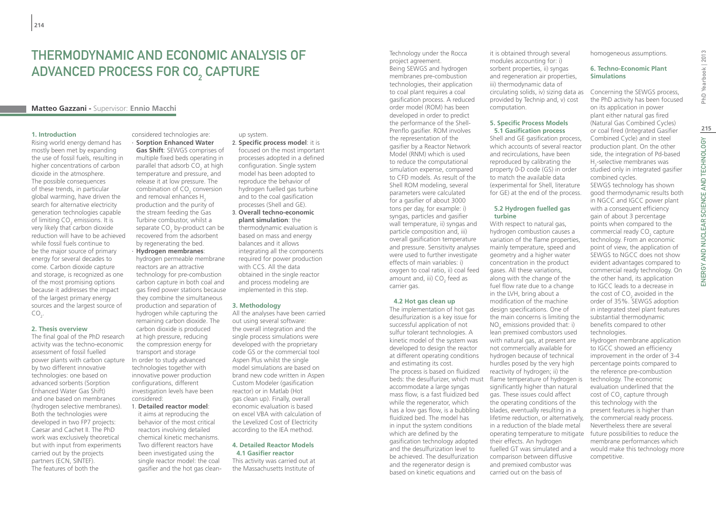# Thermodynamic and Economic Analysis of ADVANCED PROCESS FOR CO<sub>2</sub> CAPTURE

### **Matteo Gazzani -** Supervisor: **Ennio Macchi**

#### **1. Introduction**

Rising world energy demand has mostly been met by expanding the use of fossil fuels, resulting in higher concentrations of carbon dioxide in the atmosphere. The possible consequences of these trends, in particular global warming, have driven the search for alternative electricity generation technologies capable of limiting  $CO<sub>2</sub>$  emissions. It is very likely that carbon dioxide reduction will have to be achieved while fossil fuels continue to be the major source of primary energy for several decades to come. Carbon dioxide capture and storage, is recognized as one of the most promising options because it addresses the impact of the largest primary energy sources and the largest source of  $CO_{2}$ .

#### **2. Thesis overview**

The final goal of the PhD research activity was the techno-economic assessment of fossil fuelled power plants with carbon capture by two different innovative technologies: one based on advanced sorbents (Sorption Enhanced Water Gas Shift) and one based on membranes (hydrogen selective membranes). Both the technologies were developed in two FP7 projects: Caesar and Cachet II. The PhD work was exclusively theoretical but with input from experiments carried out by the projects partners (ECN, SINTEF). The features of both the

considered technologies are: ∙ **Sorption Enhanced Water Gas Shift**: SEWGS comprises of multiple fixed beds operating in parallel that adsorb  $CO<sub>2</sub>$  at high temperature and pressure, and release it at low pressure. The combination of  $CO<sub>2</sub>$  conversion and removal enhances H<sub>2</sub> production and the purity of the stream feeding the Gas Turbine combustor, whilst a separate  $CO<sub>2</sub>$  by-product can be recovered from the adsorbent by regenerating the bed. ∙ **Hydrogen membranes**: hydrogen permeable membrane reactors are an attractive technology for pre-combustion carbon capture in both coal and gas fired power stations because they combine the simultaneous production and separation of hydrogen while capturing the remaining carbon dioxide. The carbon dioxide is produced at high pressure, reducing the compression energy for transport and storage In order to study advanced technologies together with innovative power production

configurations, different investigation levels have been considered: 1. **Detailed reactor model**:

#### it aims at reproducing the behavior of the most critical reactors involving detailed chemical kinetic mechanisms. Two different reactors have been investigated using the single reactor model: the coal gasifier and the hot gas clean-

#### up system.

- 2. **Specific process model**: it is focused on the most important processes adopted in a defined configuration. Single system model has been adopted to reproduce the behavior of hydrogen fuelled gas turbine and to the coal gasification processes (Shell and GE).
- 3. **Overall techno-economic plant simulation**: the thermodynamic evaluation is based on mass and energy balances and it allows integrating all the components required for power production with CCS. All the data obtained in the single reactor and process modeling are implemented in this step.

#### **3. Methodology**

All the analyses have been carried out using several software: the overall integration and the single process simulations were developed with the proprietary code GS or the commercial tool Aspen Plus whilst the single model simulations are based on brand new code written in Aspen Custom Modeler (gasification reactor) or in Matlab (Hot gas clean up). Finally, overall economic evaluation is based on excel VBA with calculation of the Levelized Cost of Electricity according to the IEA method.

### **4. Detailed Reactor Models 4.1 Gasifier reactor**

This activity was carried out at the Massachusetts Institute of

Technology under the Rocca project agreement.

Being SEWGS and hydrogen membranes pre-combustion technologies, their application to coal plant requires a coal gasification process. A reduced order model (ROM) has been developed in order to predict the performance of the Shell-Prenflo gasifier. ROM involves the representation of the gasifier by a Reactor Network Model (RNM) which is used to reduce the computational simulation expense, compared to CFD models. As result of the Shell ROM modeling, several parameters were calculated for a gasifier of about 3000 tons per day, for example: i) syngas, particles and gasifier wall temperature, ii) syngas and particle composition and, iii) overall gasification temperature and pressure. Sensitivity analyses were used to further investigate effects of main variables: i) oxygen to coal ratio, ii) coal feed amount and, iii)  $CO<sub>2</sub>$  feed as carrier gas.

#### **4.2 Hot gas clean up**

The implementation of hot gas desulfurization is a key issue for successful application of not sulfur tolerant technologies. A kinetic model of the system was developed to design the reactor at different operating conditions and estimating its cost.

The process is based on fluidized accommodate a large syngas mass flow, is a fast fluidized bed while the regenerator, which has a low gas flow, is a bubbling fluidized bed. The model has in input the system conditions which are defined by the gasification technology adopted and the desulfurization level to be achieved. The desulfurization and the regenerator design is based on kinetic equations and

it is obtained through several modules accounting for: i) sorbent properties, ii) syngas and regeneration air properties, iii) thermodynamic data of circulating solids, iv) sizing data as provided by Technip and, v) cost computation.

#### **5. Specific Process Models 5.1 Gasification process**

Shell and GE gasification process, which accounts of several reactor and recirculations, have been reproduced by calibrating the property 0-D code (GS) in order to match the available data (experimental for Shell, literature for GE) at the end of the process.

#### **5.2 Hydrogen fuelled gas turbine**

beds: the desulfurizer, which must flame temperature of hydrogen is With respect to natural gas, hydrogen combustion causes a variation of the flame properties, mainly temperature, speed and geometry and a higher water concentration in the product gases. All these variations, along with the change of the fuel flow rate due to a change in the LVH, bring about a modification of the machine design specifications. One of the main concerns is limiting the  $NO<sub>x</sub>$  emissions provided that: i) lean premixed combustors used with natural gas, at present are not commercially available for hydrogen because of technical hurdles posed by the very high reactivity of hydrogen; ii) the significantly higher than natural gas. These issues could affect the operating conditions of the blades, eventually resulting in a lifetime reduction, or alternatively, in a reduction of the blade metal operating temperature to mitigate their effects. An hydrogen fuelled GT was simulated and a comparison between diffusive and premixed combustor was carried out on the basis of

homogeneous assumptions.

#### **6. Techno-Economic Plant Simulations**

Concerning the SEWGS process, the PhD activity has been focused on its application in power plant either natural gas fired (Natural Gas Combined Cycles) or coal fired (Integrated Gasifier Combined Cycle) and in steel production plant. On the other side, the integration of Pd-based H<sub>2</sub>-selective membranes was studied only in integrated gasifier combined cycles. SEWGS technology has shown good thermodynamic results both in NGCC and IGCC power plant with a consequent efficiency gain of about 3 percentage points when compared to the commercial ready  $CO<sub>2</sub>$  capture technology. From an economic point of view, the application of SEWGS to NGCC does not show evident advantages compared to commercial ready technology. On the other hand, its application to IGCC leads to a decrease in the cost of  $CO<sub>2</sub>$  avoided in the order of 35%. SEWGS adoption in integrated steel plant features substantial thermodynamic benefits compared to other technologies. Hydrogen membrane application to IGCC showed an efficiency improvement in the order of 3-4 percentage points compared to the reference pre-combustion technology. The economic evaluation underlined that the cost of  $CO<sub>2</sub>$  capture through this technology with the present features is higher than the commercial ready process.

Nevertheless there are several future possibilities to reduce the membrane performances which would make this technology more

competitive.

PhD Yearbook | 2013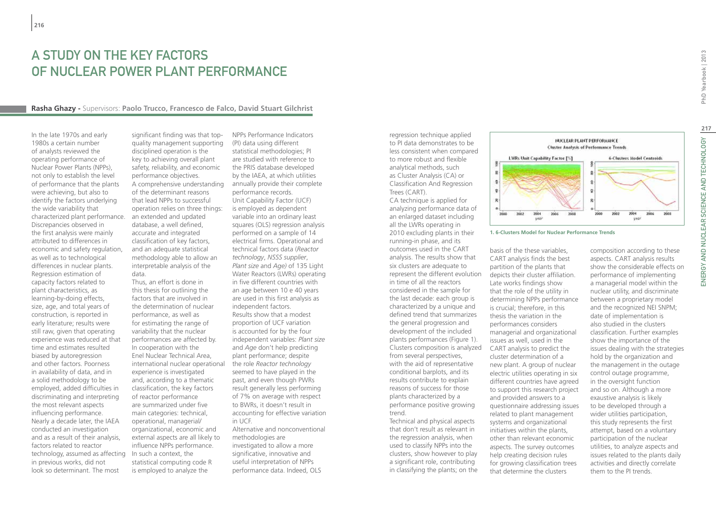## A Study on the Key Factors of Nuclear Power Plant Performance

### **Rasha Ghazy -** Supervisors: **Paolo Trucco, Francesco de Falco, David Stuart Gilchrist**

In the late 1970s and early 1980s a certain number of analysts reviewed the operating performance of Nuclear Power Plants (NPPs), not only to establish the level of performance that the plants were achieving, but also to identify the factors underlying the wide variability that characterized plant performance. Discrepancies observed in the first analysis were mainly attributed to differences in economic and safety regulation, as well as to technological differences in nuclear plants. Regression estimation of capacity factors related to plant characteristics, as learning-by-doing effects, size, age, and total years of construction, is reported in early literature; results were still raw, given that operating experience was reduced at that time and estimates resulted biased by autoregression and other factors. Poorness in availability of data, and in a solid methodology to be employed, added difficulties in discriminating and interpreting the most relevant aspects influencing performance. Nearly a decade later, the IAEA conducted an investigation and as a result of their analysis, factors related to reactor technology, assumed as affecting In such a context, the in previous works, did not look so determinant. The most

significant finding was that topquality management supporting disciplined operation is the key to achieving overall plant safety, reliability, and economic performance objectives. A comprehensive understanding of the determinant reasons that lead NPPs to successful operation relies on three things: an extended and updated database, a well defined, accurate and integrated classification of key factors, and an adequate statistical methodology able to allow an interpretable analysis of the data.

Thus, an effort is done in this thesis for outlining the factors that are involved in the determination of nuclear performance, as well as for estimating the range of variability that the nuclear performances are affected by. In cooperation with the Enel Nuclear Technical Area, international nuclear operational experience is investigated and, according to a thematic classification, the key factors of reactor performance are summarized under five main categories: technical, operational, managerial/ organizational, economic and external aspects are all likely to influence NPPs performance. statistical computing code R is employed to analyze the

NPPs Performance Indicators (PI) data using different statistical methodologies; PI are studied with reference to the PRIS database developed by the IAEA, at which utilities annually provide their complete performance records. Unit Capability Factor (UCF) is employed as dependent variable into an ordinary least squares (OLS) regression analysis performed on a sample of 14 electrical firms. Operational and technical factors data (*Reactor technology*, *NSSS supplier*, *Plant size* and *Age)* of 135 Light Water Reactors (LWRs) operating in five different countries with an age between 10 e 40 years are used in this first analysis as independent factors. Results show that a modest proportion of UCF variation is accounted for by the four independent variables: *Plant size* and *Age* don't help predicting plant performance; despite the role *Reactor technology* seemed to have played in the past, and even though PWRs result generally less performing of 7% on average with respect to BWRs, it doesn't result in accounting for effective variation in UCF. Alternative and nonconventional

methodologies are investigated to allow a more significative, innovative and useful interpretation of NPPs performance data. Indeed, OLS regression technique applied to PI data demonstrates to be less consistent when compared to more robust and flexible analytical methods, such as Cluster Analysis (CA) or Classification And Regression Trees (CART).

CA technique is applied for analyzing performance data of an enlarged dataset including all the LWRs operating in 2010 excluding plants in their running-in phase, and its outcomes used in the CART analysis. The results show that six clusters are adequate to represent the different evolution in time of all the reactors considered in the sample for the last decade: each group is characterized by a unique and defined trend that summarizes the general progression and development of the included plants performances (Figure 1). Clusters composition is analyzed CART analysis to predict the from several perspectives, with the aid of representative conditional barplots, and its results contribute to explain reasons of success for those plants characterized by a performance positive growing trend.

Technical and physical aspects that don't result as relevant in the regression analysis, when used to classify NPPs into the clusters, show however to play a significant role, contributing in classifying the plants; on the



**1. 6-Clusters Model for Nuclear Performance Trends**

basis of the these variables, CART analysis finds the best partition of the plants that depicts their cluster affiliation. Late works findings show that the role of the utility in determining NPPs performance is crucial; therefore, in this thesis the variation in the performances considers managerial and organizational issues as well, used in the cluster determination of a new plant. A group of nuclear electric utilities operating in six different countries have agreed to support this research project and provided answers to a questionnaire addressing issues related to plant management systems and organizational initiatives within the plants, other than relevant economic aspects. The survey outcomes help creating decision rules for growing classification trees that determine the clusters

composition according to these aspects. CART analysis results show the considerable effects on performance of implementing a managerial model within the nuclear utility, and discriminate between a proprietary model and the recognized NEI SNPM; date of implementation is also studied in the clusters classification. Further examples show the importance of the issues dealing with the strategies hold by the organization and the management in the outage control outage programme, in the oversight function and so on. Although a more exaustive analysis is likely to be developed through a wider utilities participation, this study represents the first attempt, based on a voluntary participation of the nuclear utilities, to analyze aspects and issues related to the plants daily activities and directly correlate them to the PI trends.

ENERGY AND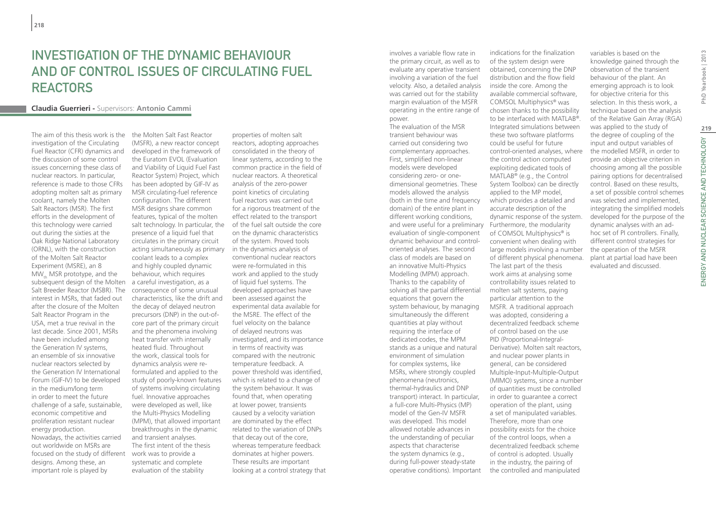## INVESTIGATION OF THE DYNAMIC BEHAVIOUR AND OF CONTROL ISSUES OF CIRCULATING FUEL REACTORS

### **Claudia Guerrieri -** Supervisors: **Antonio Cammi**

The aim of this thesis work is the the Molten Salt Fast Reactor investigation of the Circulating Fuel Reactor (CFR) dynamics and the discussion of some control issues concerning these class of nuclear reactors. In particular, reference is made to those CFRs adopting molten salt as primary coolant, namely the Molten Salt Reactors (MSR). The first efforts in the development of this technology were carried out during the sixties at the Oak Ridge National Laboratory (ORNL), with the construction of the Molten Salt Reactor Experiment (MSRE), an 8  $MW_{th}$  MSR prototype, and the subsequent design of the Molten Salt Breeder Reactor (MSBR). The interest in MSRs, that faded out after the closure of the Molten Salt Reactor Program in the USA, met a true revival in the last decade. Since 2001, MSRs have been included among the Generation IV systems, an ensemble of six innovative nuclear reactors selected by the Generation IV International Forum (GIF-IV) to be developed in the medium/long term in order to meet the future challenge of a safe, sustainable, economic competitive and proliferation resistant nuclear energy production. Nowadays, the activities carried out worldwide on MSRs are focused on the study of different designs. Among these, an important role is played by

(MSFR), a new reactor concept developed in the framework of the Euratom EVOL (Evaluation and Viability of Liquid Fuel Fast Reactor System) Project, which has been adopted by GIF-IV as MSR circulating-fuel reference configuration. The different MSR designs share common features, typical of the molten salt technology. In particular, the of the fuel salt outside the core presence of a liquid fuel that circulates in the primary circuit acting simultaneously as primary coolant leads to a complex and highly coupled dynamic behaviour, which requires a careful investigation, as a consequence of some unusual characteristics, like the drift and the decay of delayed neutron precursors (DNP) in the out-ofcore part of the primary circuit and the phenomena involving heat transfer with internally heated fluid. Throughout the work, classical tools for dynamics analysis were reformulated and applied to the study of poorly-known features of systems involving circulating fuel. Innovative approaches were developed as well, like the Multi-Physics Modelling (MPM), that allowed important breakthroughs in the dynamic and transient analyses. The first intent of the thesis work was to provide a systematic and complete evaluation of the stability

properties of molten salt reactors, adopting approaches consolidated in the theory of linear systems, according to the common practice in the field of nuclear reactors. A theoretical analysis of the zero-power point kinetics of circulating fuel reactors was carried out for a rigorous treatment of the effect related to the transport on the dynamic characteristics of the system. Proved tools in the dynamics analysis of conventional nuclear reactors were re-formulated in this work and applied to the study of liquid fuel systems. The developed approaches have been assessed against the experimental data available for the MSRE. The effect of the fuel velocity on the balance of delayed neutrons was investigated, and its importance in terms of reactivity was compared with the neutronic temperature feedback. A power threshold was identified, which is related to a change of the system behaviour. It was found that, when operating at lower power, transients caused by a velocity variation are dominated by the effect related to the variation of DNPs that decay out of the core, whereas temperature feedback dominates at higher powers. These results are important looking at a control strategy that involves a variable flow rate in the primary circuit, as well as to evaluate any operative transient involving a variation of the fuel velocity. Also, a detailed analysis was carried out for the stability margin evaluation of the MSFR operating in the entire range of power.

The evaluation of the MSR transient behaviour was carried out considering two complementary approaches. First, simplified non-linear models were developed considering zero- or onedimensional geometries. These models allowed the analysis (both in the time and frequency domain) of the entire plant in different working conditions, and were useful for a preliminary Furthermore, the modularity evaluation of single-component dynamic behaviour and controloriented analyses. The second class of models are based on an innovative Multi-Physics Modelling (MPM) approach. Thanks to the capability of solving all the partial differential equations that govern the system behaviour, by managing simultaneously the different quantities at play without requiring the interface of dedicated codes, the MPM stands as a unique and natural environment of simulation for complex systems, like MSRs, where strongly coupled phenomena (neutronics, thermal-hydraulics and DNP transport) interact. In particular, a full-core Multi-Physics (MP) model of the Gen-IV MSFR was developed. This model allowed notable advances in the understanding of peculiar aspects that characterise the system dynamics (e.g., during full-power steady-state operative conditions). Important

indications for the finalization of the system design were obtained, concerning the DNP distribution and the flow field inside the core. Among the available commercial software, COMSOL Multiphysics® was chosen thanks to the possibility to be interfaced with MATLAB®. Integrated simulations between these two software platforms could be useful for future control-oriented analyses, where the control action computed exploiting dedicated tools of MATLAB® (e.g., the Control System Toolbox) can be directly applied to the MP model, which provides a detailed and accurate description of the dynamic response of the system. of COMSOL Multiphysics<sup>®</sup> is convenient when dealing with large models involving a number of different physical phenomena. The last part of the thesis work aims at analysing some controllability issues related to molten salt systems, paying particular attention to the MSFR. A traditional approach was adopted, considering a decentralized feedback scheme of control based on the use PID (Proportional-Integral-Derivative). Molten salt reactors, and nuclear power plants in general, can be considered Multiple-Input-Multiple-Output (MIMO) systems, since a number of quantities must be controlled in order to guarantee a correct operation of the plant, using a set of manipulated variables. Therefore, more than one possibility exists for the choice of the control loops, when a

decentralized feedback scheme of control is adopted. Usually in the industry, the pairing of the controlled and manipulated

variables is based on the knowledge gained through the observation of the transient behaviour of the plant. An emerging approach is to look for objective criteria for this selection. In this thesis work, a technique based on the analysis of the Relative Gain Array (RGA) was applied to the study of the degree of coupling of the input and output variables of the modelled MSFR, in order to provide an objective criterion in choosing among all the possible pairing options for decentralised control. Based on these results, a set of possible control schemes was selected and implemented, integrating the simplified models developed for the purpose of the dynamic analyses with an adhoc set of PI controllers. Finally, different control strategies for the operation of the MSFR plant at partial load have been evaluated and discussed.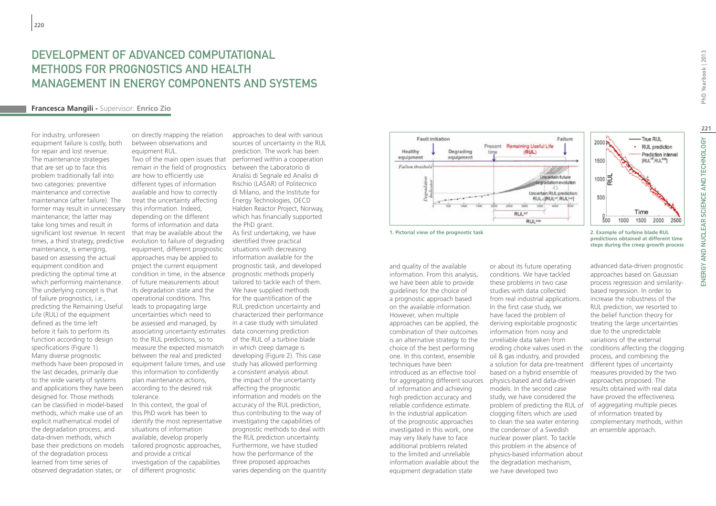## DEVELOPMENT OF ADVANCED COMPUTATIONAL METHODS FOR PROGNOSTICS AND HEALTH MANAGEMENT IN ENERGY COMPONENTS AND SYSTEMS

### **Francesca Mangili -** Supervisor: **Enrico Zio**

For industry, unforeseen equipment failure is costly, both for repair and lost revenue. The maintenance strategies that are set up to face this problem traditionally fall into two categories: preventive maintenance and corrective maintenance (after failure). The former may result in unnecessary maintenance; the latter may take long times and result in significant lost revenue. In recent times, a third strategy, predictive maintenance, is emerging, based on assessing the actual equipment condition and predicting the optimal time at which performing maintenance. The underlying concept is that of failure prognostics, i.e., predicting the Remaining Useful Life (RUL) of the equipment defined as the time left before it fails to perform its function according to design specifications (Figure 1). Many diverse prognostic methods have been proposed in the last decades, primarily due to the wide variety of systems and applications they have been designed for. Those methods can be classified in model-based methods, which make use of an explicit mathematical model of the degradation process, and data-driven methods, which base their predictions on models of the degradation process learned from time series of observed degradation states, or

on directly mapping the relation between observations and equipment RUL.

Two of the main open issues that performed within a cooperation remain in the field of prognostics between the Laboratorio di are how to efficiently use different types of information available and how to correctly treat the uncertainty affecting this information. Indeed, depending on the different forms of information and data that may be available about the evolution to failure of degrading equipment, different prognostic approaches may be applied to project the current equipment condition in time, in the absence of future measurements about its degradation state and the operational conditions. This leads to propagating large uncertainties which need to be assessed and managed, by associating uncertainty estimates data concerning prediction to the RUL predictions, so to measure the expected mismatch in which creep damage is between the real and predicted equipment failure times, and use this information to confidently plan maintenance actions, according to the desired risk tolerance.

In this context, the goal of this PhD work has been to identify the most representative situations of information available, develop properly tailored prognostic approaches, and provide a critical investigation of the capabilities of different prognostic

approaches to deal with various sources of uncertainty in the RUL prediction. The work has been Analisi di Segnale ed Analisi di Rischio (LASAR) of Politecnico di Milano, and the Institute for Energy Technologies, OECD Halden Reactor Project, Norway, which has financially supported the PhD grant. As first undertaking, we have identified three practical situations with decreasing information available for the prognostic task, and developed prognostic methods properly tailored to tackle each of them. We have supplied methods for the quantification of the RUL prediction uncertainty and characterized their performance in a case study with simulated of the RUL of a turbine blade developing (Figure 2). This case study has allowed performing a consistent analysis about the impact of the uncertainty affecting the prognostic information and models on the accuracy of the RUL prediction, thus contributing to the way of investigating the capabilities of prognostic methods to deal with the RUL prediction uncertainty. Furthermore, we have studied how the performance of the three proposed approaches varies depending on the quantity





**1. Pictorial view of the prognostic task 2. Example of turbine blade RUL** 

and quality of the available information. From this analysis, we have been able to provide guidelines for the choice of a prognostic approach based on the available information. However, when multiple approaches can be applied, the combination of their outcomes is an alternative strategy to the choice of the best performing one. In this context, ensemble techniques have been introduced as an effective tool for aggregating different sources of information and achieving high prediction accuracy and reliable confidence estimate. In the industrial application of the prognostic approaches investigated in this work, one may very likely have to face additional problems related to the limited and unreliable information available about the equipment degradation state

or about its future operating conditions. We have tackled these problems in two case studies with data collected from real industrial applications. In the first case study, we have faced the problem of deriving exploitable prognostic information from noisy and unreliable data taken from eroding choke valves used in the oil & gas industry, and provided a solution for data pre-treatment based on a hybrid ensemble of physics-based and data-driven models. In the second case study, we have considered the problem of predicting the RUL of clogging filters which are used to clean the sea water entering the condenser of a Swedish nuclear power plant. To tackle this problem in the absence of physics-based information about the degradation mechanism, we have developed two

**predictions obtained at different time steps during the creep growth process**

advanced data-driven prognostic approaches based on Gaussian process regression and similaritybased regression. In order to increase the robustness of the RUL prediction, we resorted to the belief function theory for treating the large uncertainties due to the unpredictable variations of the external conditions affecting the clogging process, and combining the different types of uncertainty measures provided by the two approaches proposed. The results obtained with real data have proved the effectiveness of aggregating multiple pieces of information treated by complementary methods, within an ensemble approach.

ENERGY AND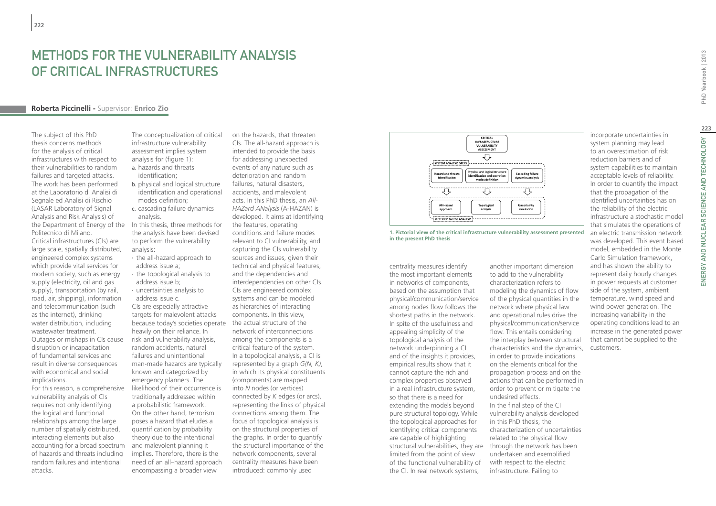## METHODS FOR THE VULNERABILITY ANALYSIS of Critical Infrastructures

### **Roberta Piccinelli -** Supervisor: **Enrico Zio**

The subject of this PhD thesis concerns methods for the analysis of critical infrastructures with respect to their vulnerabilities to random failures and targeted attacks. The work has been performed at the Laboratorio di Analisi di Segnale ed Analisi di Rischio (LASAR Laboratory of Signal Analysis and Risk Analysis) of the Department of Energy of the In this thesis, three methods for Politecnico di Milano. Critical infrastructures (CIs) are large scale, spatially distributed, engineered complex systems which provide vital services for modern society, such as energy supply (electricity, oil and gas supply), transportation (by rail, road, air, shipping), information and telecommunication (such as the internet), drinking water distribution, including wastewater treatment. Outages or mishaps in CIs cause disruption or incapacitation of fundamental services and result in diverse consequences with economical and social implications.

For this reason, a comprehensive vulnerability analysis of CIs requires not only identifying the logical and functional relationships among the large number of spatially distributed, interacting elements but also accounting for a broad spectrum of hazards and threats including random failures and intentional attacks.

The conceptualization of critical infrastructure vulnerability assessment implies system analysis for (figure 1): a. hazards and threats identification;

- b. physical and logical structure identification and operational modes definition;
- c. cascading failure dynamics analysis.
- the analysis have been devised to perform the vulnerability analysis:
- ∙ the all-hazard approach to address issue a;
- ∙ the topological analysis to address issue b; ∙ uncertainties analysis to
- address issue c. CIs are especially attractive targets for malevolent attacks because today's societies operate the actual structure of the heavily on their reliance. In risk and vulnerability analysis, random accidents, natural failures and unintentional man-made hazards are typically known and categorized by emergency planners. The likelihood of their occurrence is traditionally addressed within a probabilistic framework. On the other hand, terrorism poses a hazard that eludes a quantification by probability theory due to the intentional and malevolent planning it implies. Therefore, there is the need of an all–hazard approach encompassing a broader view

on the hazards, that threaten CIs. The all-hazard approach is intended to provide the basis for addressing unexpected events of any nature such as deterioration and random failures, natural disasters, accidents, and malevolent acts. In this PhD thesis, an *All-HAZard ANalysis* (A-HAZAN) is developed. It aims at identifying the features, operating conditions and failure modes relevant to CI vulnerability, and capturing the CIs vulnerability sources and issues, given their technical and physical features, and the dependencies and interdependencies on other CIs. CIs are engineered complex systems and can be modeled as hierarchies of interacting components. In this view, network of interconnections among the components is a critical feature of the system. In a topological analysis, a CI is represented by a graph *G(N, K)*, in which its physical constituents (components) are mapped into *N* nodes (or vertices) connected by *K* edges (or arcs), representing the links of physical connections among them. The focus of topological analysis is on the structural properties of the graphs. In order to quantify the structural importance of the network components, several centrality measures have been introduced: commonly used



**1. Pictorial view of the critical infrastructure vulnerability assessment presented in the present PhD thesis**

centrality measures identify the most important elements in networks of components, based on the assumption that physical/communication/service among nodes flow follows the shortest paths in the network. In spite of the usefulness and appealing simplicity of the topological analysis of the network underpinning a CI and of the insights it provides, empirical results show that it cannot capture the rich and complex properties observed in a real infrastructure system, so that there is a need for extending the models beyond pure structural topology. While the topological approaches for identifying critical components are capable of highlighting structural vulnerabilities, they are through the network has been limited from the point of view of the functional vulnerability of the CI. In real network systems,

another important dimension to add to the vulnerability characterization refers to modeling the dynamics of flow of the physical quantities in the network where physical law and operational rules drive the physical/communication/service flow. This entails considering the interplay between structural characteristics and the dynamics, in order to provide indications on the elements critical for the propagation process and on the actions that can be performed in order to prevent or mitigate the undesired effects. In the final step of the CI vulnerability analysis developed in this PhD thesis, the characterization of uncertainties related to the physical flow undertaken and exemplified with respect to the electric infrastructure. Failing to

incorporate uncertainties in system planning may lead to an overestimation of risk reduction barriers and of system capabilities to maintain acceptable levels of reliability. In order to quantify the impact that the propagation of the identified uncertainties has on the reliability of the electric infrastructure a stochastic model that simulates the operations of an electric transmission network was developed. This event based model, embedded in the Monte Carlo Simulation framework, and has shown the ability to represent daily hourly changes in power requests at customer side of the system, ambient temperature, wind speed and wind power generation. The increasing variability in the operating conditions lead to an increase in the generated power that cannot be supplied to the customers.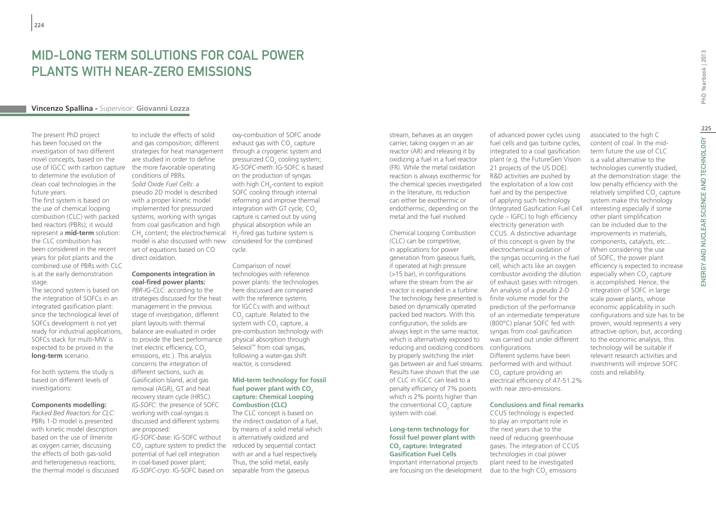## Mid-long term solutions for coal power plants with near-zero emissions

### **Vincenzo Spallina -** Supervisor: **Giovanni Lozza**

The present PhD project has been focused on the investigation of two different novel concepts, based on the use of IGCC with carbon capture to determine the evolution of clean coal technologies in the future years.

The first system is based on the use of chemical looping combustion (CLC) with packed bed reactors (PBRs); it would represent a **mid-term** solution: the CLC combustion has been considered in the recent years for pilot plants and the combined use of PBRs with CLC is at the early demonstration stage.

The second system is based on the integration of SOFCs in an integrated gasification plant: since the technological level of SOFCs development is not yet ready for industrial applications, SOFCs stack for multi-MW is expected to be proved in the **long-term** scenario.

For both systems the study is based on different levels of investigations:

#### **Components modelling:**

*Packed Bed Reactors for CLC:* PBRs 1-D model is presented with kinetic model description based on the use of ilmenite as oxygen carrier, discussing the effects of both gas-solid and heterogeneous reactions; the thermal model is discussed

to include the effects of solid and gas composition; different strategies for heat management are studied in order to define the more favorable operating conditions of PBRs. *Solid Oxide Fuel Cells*: a pseudo 2D model is described with a proper kinetic model implemented for pressurized systems, working with syngas from coal gasification and high  $CH<sub>4</sub>$  content; the electrochemical model is also discussed with new set of equations based on CO direct oxidation.

#### **Components integration in coal-fired power plants:**

*PBR-IG-CLC*: according to the strategies discussed for the heat management in the previous stage of investigation, different plant layouts with thermal balance are evaluated in order to provide the best performance (net electric efficiency,  $CO<sub>2</sub>$ emissions, etc.). This analysis concerns the integration of different sections, such as Gasification Island, acid gas removal (AGR), GT and heat recovery steam cycle (HRSC). *IG-SOFC*: the presence of SOFC working with coal-syngas is discussed and different systems are proposed: *IG-SOFC-ba*se: IG-SOFC without

 $CO<sub>2</sub>$  capture system to predict the potential of fuel cell integration in coal-based power plant; *IG-SOFC-cryo*: IG-SOFC based on

oxy-combustion of SOFC anode exhaust gas with  $\mathsf{CO}_2$  capture through a cryogenic system and pressurized CO $_{\textrm{\tiny{2}}}$  cooling system; *IG-SOFC-meth*: IG-SOFC is based on the production of syngas with high CH<sub>4</sub>-content to exploit SOFC cooling through internal reforming and improve thermal integration with GT cycle: CO<sub>2</sub> capture is carried out by using physical absorption while an  $H_2$ -fired gas turbine system is considered for the combined cycle.

Comparison of novel technologies with reference power plants: the technologies here discussed are compared with the reference systems for IGCCs with and without  $CO<sub>2</sub>$  capture. Related to the system with CO<sub>2</sub> capture, a pre-combustion technology with physical absorption through Selexol<sup>™</sup> from coal syngas, following a water-gas shift reactor, is considered.

#### **Mid-term technology for fossil**  fuel power plant with CO<sub>2</sub> **capture: Chemical Looping Combustion (CLC)**

The CLC concept is based on the indirect oxidation of a fuel, by means of a solid metal which is alternatively oxidized and reduced by sequential contact with air and a fuel respectively. Thus, the solid metal, easily separable from the gaseous

stream, behaves as an oxygen carrier, taking oxygen in an air reactor (AR) and releasing it by oxidizing a fuel in a fuel reactor (FR). While the metal oxidation reaction is always exothermic for the chemical species investigated in the literature, its reduction can either be exothermic or endothermic, depending on the metal and the fuel involved.

Chemical Looping Combustion (CLC) can be competitive, in applications for power generation from gaseous fuels, if operated at high pressure (>15 bar), in configurations where the stream from the air reactor is expanded in a turbine. The technology here presented is based on dynamically operated packed bed reactors. With this configuration, the solids are always kept in the same reactor, which is alternatively exposed to reducing and oxidizing conditions configurations by properly switching the inlet gas between air and fuel streams. Results have shown that the use of CLC in IGCC can lead to a penalty efficiency of 7% points which is 2% points higher than the conventional  $CO_2$  capture system with coal.

#### **Long-term technology for fossil fuel power plant with CO<sub>2</sub>** capture: Integrated **Gasification Fuel Cells** Important international projects

are focusing on the development

of advanced power cycles using fuel cells and gas turbine cycles. integrated to a coal gasification plant (e.g. the FutureGen Vision 21 projects of the US DOE). R&D activities are pushed by the exploitation of a low cost fuel and by the perspective of applying such technology (Integrated Gasification Fuel Cell cycle – IGFC) to high efficiency electricity generation with CCUS. A distinctive advantage of this concept is given by the electrochemical oxidation of the syngas occurring in the fuel cell, which acts like an oxygen combustor avoiding the dilution of exhaust gases with nitrogen. An analysis of a pseudo 2-D finite volume model for the prediction of the performance of an intermediate temperature (800°C) planar SOFC fed with syngas from coal gasification was carried out under different Different systems have been performed with and without  $CO<sub>2</sub>$  capture providing an electrical efficiency of 47-51.2% with near zero-emissions.

#### **Conclusions and final remarks**

CCUS technology is expected to play an important role in the next years due to the need of reducing greenhouse gases. The integration of CCUS technologies in coal power plant need to be investigated due to the high  $CO<sub>2</sub>$  emissions

associated to the high C content of coal. In the midterm future the use of CLC is a valid alternative to the technologies currently studied, at the demonstration stage: the low penalty efficiency with the relatively simplified  $CO_{2}$  capture system make this technology interesting especially if some other plant simplification can be included due to the improvements in materials, components, catalysts, etc... When considering the use of SOFC, the power plant efficiency is expected to increase especially when  $CO<sub>2</sub>$  capture is accomplished. Hence, the integration of SOFC in large scale power plants, whose economic applicability in such configurations and size has to be proven, would represents a very attractive option, but, according to the economic analysis, this technology will be suitable if relevant research activities and investments will improve SOFC costs and reliability.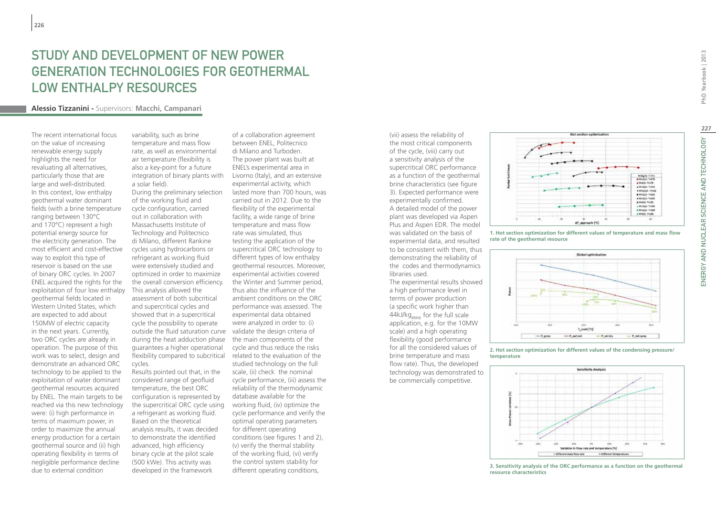## STUDY AND DEVELOPMENT OF NEW POWER GENERATION TECHNOLOGIES FOR GEOTHERMAL LOW ENTHALPY RESOURCES

### **Alessio Tizzanini -** Supervisors: **Macchi, Campanari**

The recent international focus on the value of increasing renewable energy supply highlights the need for revaluating all alternatives, particularly those that are large and well-distributed. In this context, low enthalpy geothermal water dominant fields (with a brine temperature ranging between 130°C and 170°C) represent a high potential energy source for the electricity generation. The most efficient and cost-effective way to exploit this type of reservoir is based on the use of binary ORC cycles. In 2007 ENEL acquired the rights for the exploitation of four low enthalpy geothermal fields located in Western United States, which are expected to add about 150MW of electric capacity in the next years. Currently, two ORC cycles are already in operation. The purpose of this work was to select, design and demonstrate an advanced ORC technology to be applied to the exploitation of water dominant geothermal resources acquired by ENEL. The main targets to be reached via this new technology were: (i) high performance in terms of maximum power, in order to maximize the annual energy production for a certain geothermal source and (ii) high operating flexibility in terms of negligible performance decline due to external condition

variability, such as brine temperature and mass flow rate, as well as environmental air temperature (flexibility is also a key-point for a future integration of binary plants with a solar field). During the preliminary selection of the working fluid and cycle configuration, carried out in collaboration with Massachusetts Institute of Technology and Politecnico di Milano, different Rankine cycles using hydrocarbons or refrigerant as working fluid were extensively studied and optimized in order to maximize the overall conversion efficiency. This analysis allowed the assessment of both subcritical and supercritical cycles and showed that in a supercritical cycle the possibility to operate outside the fluid saturation curve validate the design criteria of during the heat adduction phase guarantees a higher operational flexibility compared to subcritical cycles. Results pointed out that, in the considered range of geofluid temperature, the best ORC configuration is represented by the supercritical ORC cycle using

a refrigerant as working fluid. Based on the theoretical analysis results, it was decided to demonstrate the identified advanced, high efficiency binary cycle at the pilot scale (500 kWe). This activity was developed in the framework

of a collaboration agreement between ENEL, Politecnico di Milano and Turboden. The power plant was built at ENEL's experimental area in Livorno (Italy), and an extensive experimental activity, which lasted more than 700 hours, was carried out in 2012. Due to the flexibility of the experimental facility, a wide range of brine temperature and mass flow rate was simulated, thus testing the application of the supercritical ORC technology to different types of low enthalpy geothermal resources. Moreover, experimental activities covered the Winter and Summer period, thus also the influence of the ambient conditions on the ORC performance was assessed. The experimental data obtained were analyzed in order to: (i) the main components of the cycle and thus reduce the risks related to the evaluation of the studied technology on the full scale, (ii) check the nominal cycle performance, (iii) assess the reliability of the thermodynamic database available for the working fluid, (iv) optimize the cycle performance and verify the optimal operating parameters for different operating conditions (see figures 1 and 2), (v) verify the thermal stability of the working fluid, (vi) verify the control system stability for different operating conditions,

(vii) assess the reliability of the most critical components of the cycle, (viii) carry out a sensitivity analysis of the supercritical ORC performance as a function of the geothermal brine characteristics (see figure 3). Expected performance were experimentally confirmed. A detailed model of the power plant was developed via Aspen Plus and Aspen EDR. The model was validated on the basis of experimental data, and resulted to be consistent with them, thus demonstrating the reliability of the codes and thermodynamics libraries used.

The experimental results showed a high performance level in terms of power production (a specific work higher than  $44kJ/kg<sub>RRINE</sub>$  for the full scale application, e.g. for the 10MW scale) and a high operating flexibility (good performance for all the considered values of brine temperature and mass flow rate). Thus, the developed technology was demonstrated to be commercially competitive.



that courtless specificate of



**2. Hot section optimization for different values of the condensing pressure/ temperature**



MB<sub>B</sub>M-T(S)<br>Mol3 8-Telli AMARA FUTA MISLA-TION MILLA THIS **MANUEL 19932**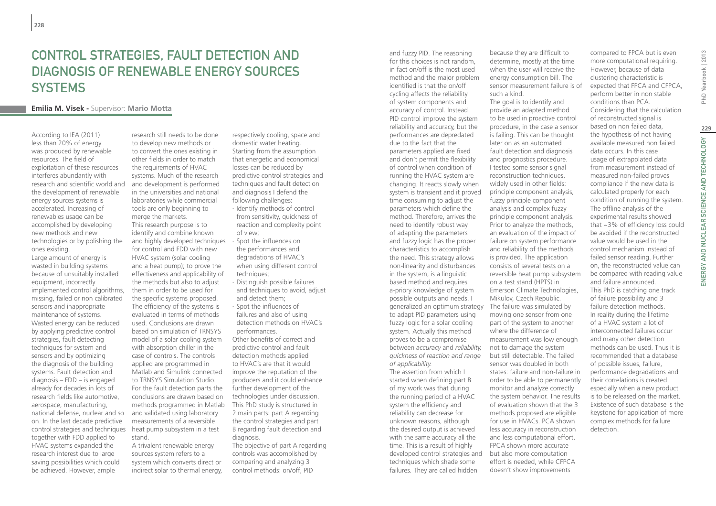## Control Strategies, Fault Detection and Diagnosis of Renewable Energy Sources **SYSTEMS**

## **Emilia M. Visek -** Supervisor: **Mario Motta**

According to IEA (2011) less than 20% of energy was produced by renewable resources. The field of exploitation of these resources interferes abundantly with research and scientific world and the development of renewable energy sources systems is accelerated. Increasing of renewables usage can be accomplished by developing new methods and new technologies or by polishing the ones existing. Large amount of energy is wasted in building systems because of unsuitably installed equipment, incorrectly implemented control algorithms, missing, failed or non calibrated sensors and inappropriate maintenance of systems. Wasted energy can be reduced by applying predictive control strategies, fault detecting techniques for system and sensors and by optimizing the diagnosis of the building systems. Fault detection and diagnosis – FDD – is engaged already for decades in lots of research fields like automotive, aerospace, manufacturing, national defense, nuclear and so on. In the last decade predictive control strategies and techniques heat pump subsystem in a test together with FDD applied to HVAC systems expanded the research interest due to large saving possibilities which could be achieved. However, ample

research still needs to be done to develop new methods or to convert the ones existing in other fields in order to match the requirements of HVAC systems. Much of the research and development is performed in the universities and national laboratories while commercial tools are only beginning to merge the markets. This research purpose is to identify and combine known and highly developed techniques for control and FDD with new HVAC system (solar cooling and a heat pump); to prove the effectiveness and applicability of the methods but also to adjust them in order to be used for the specific systems proposed. The efficiency of the systems is evaluated in terms of methods used. Conclusions are drawn based on simulation of TRNSYS model of a solar cooling system with absorption chiller in the case of controls. The controls applied are programmed in Matlab and Simulink connected to TRNSYS Simulation Studio. For the fault detection parts the conclusions are drawn based on methods programmed in Matlab and validated using laboratory measurements of a reversible stand. A trivalent renewable energy

sources system refers to a system which converts direct or indirect solar to thermal energy, respectively cooling, space and domestic water heating. Starting from the assumption that energetic and economical losses can be reduced by predictive control strategies and techniques and fault detection and diagnosis I defend the following challenges:

- ∙ Identify methods of control from sensitivity, quickness of reaction and complexity point of view;
- ∙ Spot the influences on the performances and degradations of HVAC's when using different control techniques;
- ∙ Distinguish possible failures and techniques to avoid, adjust and detect them;
- ∙ Spot the influences of failures and also of using detection methods on HVAC's performances.

Other benefits of correct and predictive control and fault detection methods applied to HVAC's are that it would improve the reputation of the producers and it could enhance further development of the technologies under discussion. This PhD study is structured in 2 main parts: part A regarding the control strategies and part B regarding fault detection and diagnosis.

The objective of part A regarding controls was accomplished by comparing and analyzing 3 control methods: on/off, PID

and fuzzy PID. The reasoning for this choices is not random, in fact on/off is the most used method and the major problem identified is that the on/off cycling affects the reliability of system components and accuracy of control. Instead PID control improve the system reliability and accuracy, but the performances are depredated due to the fact that the parameters applied are fixed and don't permit the flexibility of control when condition of running the HVAC system are changing. It reacts slowly when system is transient and it proved time consuming to adjust the parameters which define the method. Therefore, arrives the need to identify robust way of adapting the parameters and fuzzy logic has the proper characteristics to accomplish the need. This strategy allows non-linearity and disturbances in the system, is a linguistic based method and requires a-priory knowledge of system possible outputs and needs. I generalized an optimum strategy to adapt PID parameters using fuzzy logic for a solar cooling system. Actually this method proves to be a compromise between *accuracy* and *reliability, quickness of reaction and range of applicability.* The assertion from which I started when defining part B of my work was that during the running period of a HVAC

system the efficiency and reliability can decrease for unknown reasons, although the desired output is achieved with the same accuracy all the time. This is a result of highly

techniques which shade some failures. They are called hidden

because they are difficult to determine, mostly at the time when the user will receive the energy consumption bill. The sensor measurement failure is of such a kind.

developed control strategies and but also more computation The goal is to identify and provide an adapted method to be used in proactive control procedure, in the case a sensor is failing. This can be thought later on as an automated fault detection and diagnosis and prognostics procedure. I tested some sensor signal reconstruction techniques, widely used in other fields: principle component analysis, fuzzy principle component analysis and complex fuzzy principle component analysis. Prior to analyze the methods, an evaluation of the impact of failure on system performance and reliability of the methods is provided. The application consists of several tests on a reversible heat pump subsystem on a test stand (HPTS) in Emerson Climate Technologies, Mikulov, Czech Republic. The failure was simulated by moving one sensor from one part of the system to another where the difference of measurement was low enough not to damage the system but still detectable. The failed sensor was doubled in both states: failure and non-failure in order to be able to permanently monitor and analyze correctly the system behavior. The results of evaluation shown that the 3 methods proposed are eligible for use in HVACs. PCA shown less accuracy in reconstruction and less computational effort, FPCA shown more accurate effort is needed, while CFPCA doesn't show improvements

compared to FPCA but is even more computational requiring. However, because of data clustering characteristic is expected that FPCA and CFPCA, perform better in non stable conditions than PCA. Considering that the calculation of reconstructed signal is based on non failed data, the hypothesis of not having available measured non failed data occurs. In this case usage of extrapolated data from measurement instead of measured non-failed proves compliance if the new data is calculated properly for each condition of running the system. The offline analysis of the experimental results showed that ~3% of efficiency loss could be avoided if the reconstructed value would be used in the control mechanism instead of failed sensor reading. Further on, the reconstructed value can be compared with reading value This PhD is catching one track of failure possibility and 3 failure detection methods. In reality during the lifetime of a HVAC system a lot of interconnected failures occur and many other detection methods can be used. Thus it is recommended that a database of possible issues, failure, performance degradations and their correlations is created especially when a new product is to be released on the market. Existence of such database is the keystone for application of more complex methods for failure

and failure announced. detection.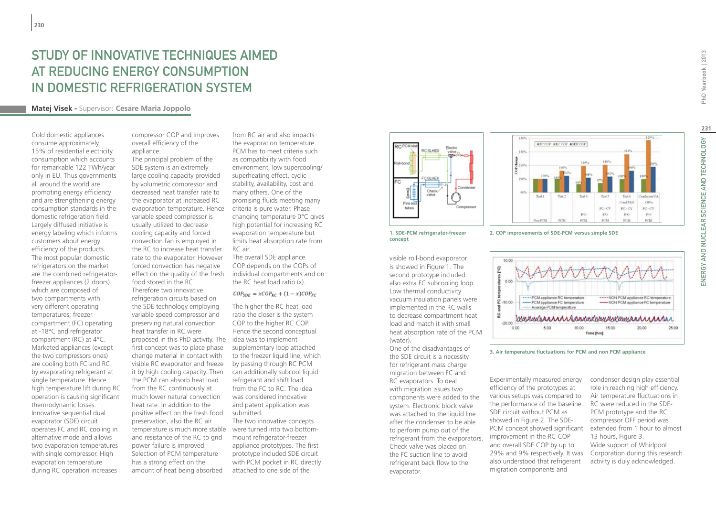## Study of innovative techniques aimed at reducing energy consumption in domestic refrigeration system

## **Matej Visek -** Supervisor: **Cesare Maria Joppolo**

Cold domestic appliances consume approximately 15% of residential electricity consumption which accounts for remarkable 122 TWh/year only in EU. Thus governments all around the world are promoting energy efficiency and are strengthening energy consumption standards in the domestic refrigeration field. Largely diffused initiative is energy labeling which informs customers about energy efficiency of the products. The most popular domestic refrigerators on the market are the combined refrigeratorfreezer appliances (2 doors) which are composed of two compartments with very different operating temperatures; freezer compartment (FC) operating at -18°C and refrigerator compartment (RC) at 4°C. Marketed appliances (except the two compressors ones) are cooling both FC and RC by evaporating refrigerant at single temperature. Hence high temperature lift during RC operation is causing significant thermodynamic losses. Innovative sequential dual evaporator (SDE) circuit operates FC and RC cooling in alternative mode and allows two evaporation temperatures with single compressor. High evaporation temperature during RC operation increases

compressor COP and improves overall efficiency of the appliance. The principal problem of the

SDE system is an extremely large cooling capacity provided by volumetric compressor and decreased heat transfer rate to the evaporator at increased RC evaporation temperature. Hence variable speed compressor is usually utilized to decrease cooling capacity and forced convection fan is employed in the RC to increase heat transfer rate to the evaporator. However forced convection has negative effect on the quality of the fresh individual compartments and on food stored in the RC. Therefore two innovative refrigeration circuits based on the SDE technology employing variable speed compressor and preserving natural convection heat transfer in RC were proposed in this PhD activity. The idea was to implement first concept was to place phase change material in contact with visible RC evaporator and freeze it by high cooling capacity. Then the PCM can absorb heat load from the RC continuously at much lower natural convection heat rate. In addition to the positive effect on the fresh food preservation, also the RC air temperature is much more stable were turned into two bottomand resistance of the RC to grid power failure is improved. Selection of PCM temperature has a strong effect on the amount of heat being absorbed

from RC air and also impacts the evaporation temperature. PCM has to meet criteria such as compatibility with food environment, low supercooling/ superheating effect, cyclic stability, availability, cost and many others. One of the promising fluids meeting many criteria is pure water. Phase changing temperature 0°C gives high potential for increasing RC evaporation temperature but limits heat absorption rate from RC air.

The overall SDE appliance COP depends on the COPs of the RC heat load ratio (x).

 $COP_{SDE} = xCOP_{RC} + (1 - x)COP_{FC}$ 

The higher the RC heat load ratio the closer is the system COP to the higher RC COP. Hence the second conceptual supplementary loop attached to the freezer liquid line, which by passing through RC PCM can additionally subcool liquid refrigerant and shift load from the FC to RC. The idea was considered innovative and patent application was submitted.

The two innovative concepts mount refrigerator-freezer appliance prototypes. The first prototype included SDE circuit with PCM pocket in RC directly attached to one side of the





**1. SDE-PCM refrigerator-freezer concept**

visible roll-bond evaporator is showed in Figure 1. The second prototype included also extra FC subcooling loop. Low thermal conductivity vacuum insulation panels were implemented in the RC walls to decrease compartment heat load and match it with small heat absorption rate of the PCM (water).

One of the disadvantages of the SDE circuit is a necessity for refrigerant mass charge migration between FC and RC evaporators. To deal with migration issues two components were added to the system. Electronic block valve was attached to the liquid line after the condenser to be able to perform pump out of the refrigerant from the evaporators. Check valve was placed on the FC suction line to avoid refrigerant back flow to the evaporator.





**3. Air temperature fluctuations for PCM and non PCM appliance**

Experimentally measured energy efficiency of the prototypes at various setups was compared to the performance of the baseline SDE circuit without PCM as showed in Figure 2. The SDE-PCM concept showed significant improvement in the RC COP and overall SDE COP by up to 29% and 9% respectively. It was also understood that refrigerant migration components and

condenser design play essential role in reaching high efficiency. Air temperature fluctuations in RC were reduced in the SDE-PCM prototype and the RC compressor OFF period was extended from 1 hour to almost 13 hours, Figure 3. Wide support of Whirlpool Corporation during this research activity is duly acknowledged.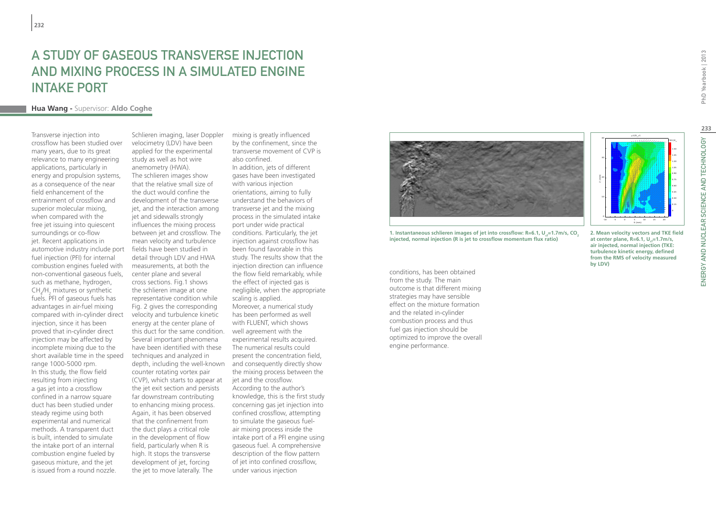## A Study of Gaseous Transverse Injection and Mixing Process in a Simulated Engine Intake Port

## **Hua Wang -** Supervisor: **Aldo Coghe**

Transverse injection into crossflow has been studied over many years, due to its great relevance to many engineering applications, particularly in energy and propulsion systems, as a consequence of the near field enhancement of the entrainment of crossflow and superior molecular mixing, when compared with the free jet issuing into quiescent surroundings or co-flow jet. Recent applications in automotive industry include port fuel injection (PFI) for internal combustion engines fueled with non-conventional gaseous fuels, such as methane, hydrogen,  $CH_4/H_2$  mixtures or synthetic fuels. PFI of gaseous fuels has advantages in air-fuel mixing compared with in-cylinder direct injection, since it has been proved that in-cylinder direct injection may be affected by incomplete mixing due to the short available time in the speed range 1000-5000 rpm. In this study, the flow field resulting from injecting a gas jet into a crossflow confined in a narrow square duct has been studied under steady regime using both experimental and numerical methods. A transparent duct is built, intended to simulate the intake port of an internal combustion engine fueled by gaseous mixture, and the jet is issued from a round nozzle.

Schlieren imaging, laser Doppler velocimetry (LDV) have been applied for the experimental study as well as hot wire anemometry (HWA). The schlieren images show that the relative small size of the duct would confine the development of the transverse jet, and the interaction among jet and sidewalls strongly influences the mixing process between jet and crossflow. The mean velocity and turbulence fields have been studied in detail through LDV and HWA measurements, at both the center plane and several cross sections. Fig.1 shows the schlieren image at one representative condition while Fig. 2 gives the corresponding velocity and turbulence kinetic energy at the center plane of this duct for the same condition. Several important phenomena have been identified with these techniques and analyzed in depth, including the well-known counter rotating vortex pair (CVP), which starts to appear at the jet exit section and persists far downstream contributing to enhancing mixing process. Again, it has been observed that the confinement from the duct plays a critical role in the development of flow field, particularly when R is high. It stops the transverse development of jet, forcing the jet to move laterally. The

mixing is greatly influenced by the confinement, since the transverse movement of CVP is also confined.

In addition, jets of different gases have been investigated with various injection orientations, aiming to fully understand the behaviors of transverse jet and the mixing process in the simulated intake port under wide practical conditions. Particularly, the jet injection against crossflow has been found favorable in this study. The results show that the injection direction can influence the flow field remarkably, while the effect of injected gas is negligible, when the appropriate scaling is applied. Moreover, a numerical study has been performed as well with FLUENT, which shows well agreement with the experimental results acquired. The numerical results could present the concentration field, and consequently directly show the mixing process between the jet and the crossflow. According to the author's knowledge, this is the first study concerning gas jet injection into confined crossflow, attempting to simulate the gaseous fuelair mixing process inside the intake port of a PFI engine using gaseous fuel. A comprehensive description of the flow pattern of jet into confined crossflow, under various injection



**1. Instantaneous schlieren images of jet into crossflow: R=6.1, U<sub>c</sub>=1.7m/s, CO<sub>2</sub> injected, normal injection (R is jet to crossflow momentum flux ratio)**

conditions, has been obtained from the study. The main outcome is that different mixing strategies may have sensible effect on the mixture formation and the related in-cylinder combustion process and thus fuel gas injection should be optimized to improve the overall engine performance.

**2. Mean velocity vectors and TKE field**  X 
(mm) 0 0.15 0.30 0.45 0.60 0.75 0.90 1.05 1.20 1.35 z (mm) -5 0 5  $10$ 0 10 20 30

 $40 - 10/0$ <sub>c</sub>= 1

at center plane, R=6.1, U<sub>j</sub>=1.7m/s, **air injected, normal injection (TKE: turbulence kinetic energy, defined from the RMS of velocity measured by LDV)**

1.50

 $T$  K E  $\mu_c$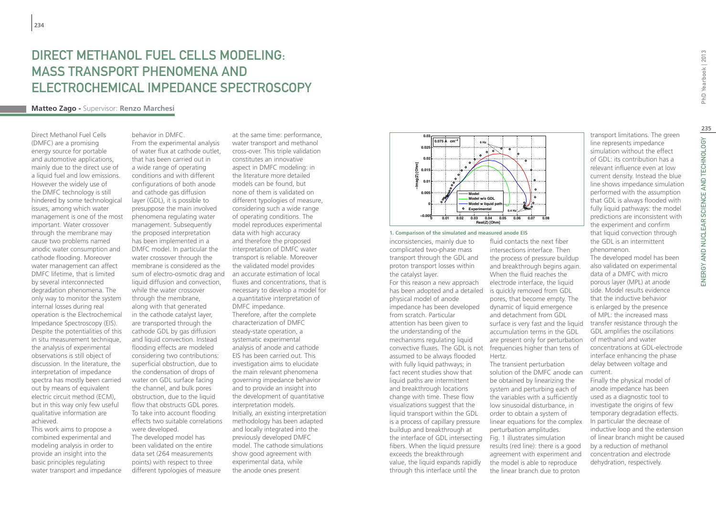## DIRECT METHANOL FUEL CELLS MODELING. mass transport phenomena and electrochemical impedance spectroscopy

## **Matteo Zago -** Supervisor: **Renzo Marchesi**

Direct Methanol Fuel Cells (DMFC) are a promising energy source for portable and automotive applications, mainly due to the direct use of a liquid fuel and low emissions. However the widely use of the DMFC technology is still hindered by some technological issues, among which water management is one of the most important. Water crossover through the membrane may cause two problems named anodic water consumption and cathode flooding. Moreover water management can affect DMFC lifetime, that is limited by several interconnected degradation phenomena. The only way to monitor the system internal losses during real operation is the Electrochemical Impedance Spectroscopy (EIS). Despite the potentialities of this in situ measurement technique, the analysis of experimental observations is still object of discussion. In the literature, the interpretation of impedance spectra has mostly been carried out by means of equivalent electric circuit method (ECM), but in this way only few useful qualitative information are achieved.

This work aims to propose a combined experimental and modeling analysis in order to provide an insight into the basic principles regulating water transport and impedance

behavior in DMFC. From the experimental analysis of water flux at cathode outlet, that has been carried out in a wide range of operating conditions and with different configurations of both anode and cathode gas diffusion layer (GDL), it is possible to presuppose the main involved phenomena regulating water management. Subsequently the proposed interpretation has been implemented in a DMFC model. In particular the water crossover through the membrane is considered as the liquid diffusion and convection, while the water crossover through the membrane, along with that generated in the cathode catalyst layer, are transported through the cathode GDL by gas diffusion and liquid convection. Instead flooding effects are modeled considering two contributions: superficial obstruction, due to the condensation of drops of water on GDL surface facing the channel, and bulk pores obstruction, due to the liquid flow that obstructs GDL pores. To take into account flooding effects two suitable correlations were developed. The developed model has been validated on the entire data set (264 measurements points) with respect to three

different typologies of measure

sum of electro-osmotic drag and an accurate estimation of local at the same time: performance, water transport and methanol cross-over. This triple validation constitutes an innovative aspect in DMFC modeling: in the literature more detailed models can be found, but none of them is validated on different typologies of measure, considering such a wide range of operating conditions. The model reproduces experimental data with high accuracy and therefore the proposed interpretation of DMFC water transport is reliable. Moreover the validated model provides fluxes and concentrations, that is necessary to develop a model for a quantitative interpretation of DMFC impedance. Therefore, after the complete characterization of DMFC steady-state operation, a systematic experimental analysis of anode and cathode EIS has been carried out. This

investigation aims to elucidate the main relevant phenomena governing impedance behavior and to provide an insight into the development of quantitative interpretation models. Initially, an existing interpretation methodology has been adapted and locally integrated into the previously developed DMFC model. The cathode simulations show good agreement with experimental data, while the anode ones present



#### **1. Comparison of the simulated and measured anode EIS**

inconsistencies, mainly due to complicated two-phase mass transport through the GDL and proton transport losses within the catalyst layer.

has been adopted and a detailed is quickly removed from GDL convective fluxes. The GDL is not frequencies higher than tens of For this reason a new approach physical model of anode impedance has been developed from scratch. Particular attention has been given to the understanding of the mechanisms regulating liquid assumed to be always flooded with fully liquid pathways; in fact recent studies show that liquid paths are intermittent and breakthrough locations change with time. These flow visualizations suggest that the liquid transport within the GDL is a process of capillary pressure buildup and breakthrough at the interface of GDL intersecting fibers. When the liquid pressure exceeds the breakthrough value, the liquid expands rapidly through this interface until the

fluid contacts the next fiber intersections interface. Then the process of pressure buildup and breakthrough begins again. When the fluid reaches the electrode interface, the liquid pores, that become empty. The dynamic of liquid emergence and detachment from GDL surface is very fast and the liquid accumulation terms in the GDL are present only for perturbation Hertz.

The transient perturbation solution of the DMFC anode can be obtained by linearizing the system and perturbing each of the variables with a sufficiently low sinusoidal disturbance, in order to obtain a system of linear equations for the complex perturbation amplitudes. Fig. 1 illustrates simulation results (red line): there is a good agreement with experiment and the model is able to reproduce the linear branch due to proton

transport limitations. The green line represents impedance simulation without the effect of GDL: its contribution has a relevant influence even at low current density. Instead the blue line shows impedance simulation performed with the assumption that GDL is always flooded with fully liquid pathways: the model predictions are inconsistent with the experiment and confirm that liquid convection through the GDL is an intermittent phenomenon.

The developed model has been also validated on experimental data of a DMFC with micro porous layer (MPL) at anode side. Model results evidence that the inductive behavior is enlarged by the presence of MPL: the increased mass transfer resistance through the GDL amplifies the oscillations of methanol and water concentrations at GDL-electrode interface enhancing the phase delay between voltage and current.

Finally the physical model of anode impedance has been used as a diagnostic tool to investigate the origins of few temporary degradation effects. In particular the decrease of inductive loop and the extension of linear branch might be caused by a reduction of methanol concentration and electrode dehydration, respectively.

PhD Yearbook | 2013